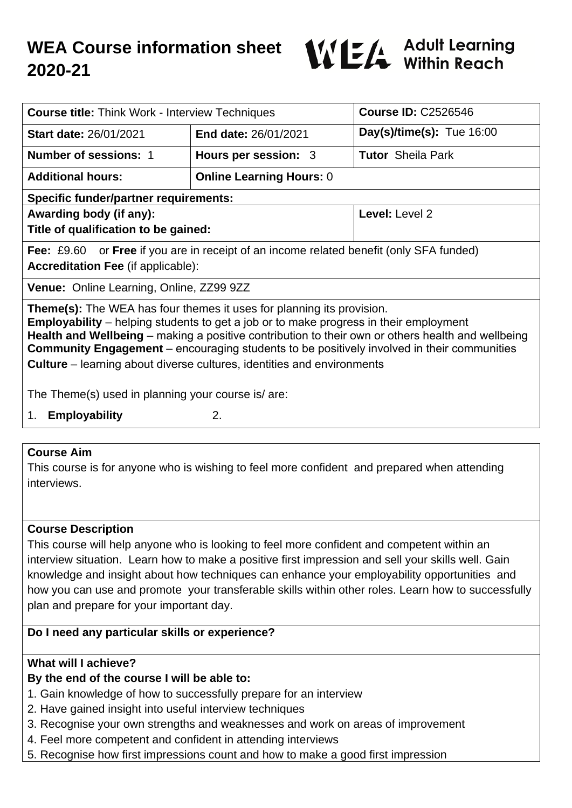# **WEA Course information sheet 2020-21**



| <b>Course title: Think Work - Interview Techniques</b>                                                                                                                                                                                                                                                                                                                                 |                                 | <b>Course ID: C2526546</b>  |  |  |
|----------------------------------------------------------------------------------------------------------------------------------------------------------------------------------------------------------------------------------------------------------------------------------------------------------------------------------------------------------------------------------------|---------------------------------|-----------------------------|--|--|
| <b>Start date: 26/01/2021</b>                                                                                                                                                                                                                                                                                                                                                          | <b>End date: 26/01/2021</b>     | Day(s)/time(s): $Tue 16:00$ |  |  |
| <b>Number of sessions: 1</b>                                                                                                                                                                                                                                                                                                                                                           | Hours per session: 3            | <b>Tutor</b> Sheila Park    |  |  |
| <b>Additional hours:</b>                                                                                                                                                                                                                                                                                                                                                               | <b>Online Learning Hours: 0</b> |                             |  |  |
| <b>Specific funder/partner requirements:</b>                                                                                                                                                                                                                                                                                                                                           |                                 |                             |  |  |
| Awarding body (if any):                                                                                                                                                                                                                                                                                                                                                                |                                 | Level: Level 2              |  |  |
| Title of qualification to be gained:                                                                                                                                                                                                                                                                                                                                                   |                                 |                             |  |  |
| <b>Fee:</b> £9.60 or <b>Free</b> if you are in receipt of an income related benefit (only SFA funded)                                                                                                                                                                                                                                                                                  |                                 |                             |  |  |
| <b>Accreditation Fee (if applicable):</b>                                                                                                                                                                                                                                                                                                                                              |                                 |                             |  |  |
| Venue: Online Learning, Online, ZZ99 9ZZ                                                                                                                                                                                                                                                                                                                                               |                                 |                             |  |  |
| <b>Theme(s):</b> The WEA has four themes it uses for planning its provision.<br><b>Employability</b> – helping students to get a job or to make progress in their employment<br>Health and Wellbeing – making a positive contribution to their own or others health and wellbeing<br><b>Community Engagement</b> – encouraging students to be positively involved in their communities |                                 |                             |  |  |
| <b>Culture</b> – learning about diverse cultures, identities and environments                                                                                                                                                                                                                                                                                                          |                                 |                             |  |  |
| The Theme(s) used in planning your course is/are:                                                                                                                                                                                                                                                                                                                                      |                                 |                             |  |  |
| <b>Employability</b><br>1.                                                                                                                                                                                                                                                                                                                                                             | 2.                              |                             |  |  |
|                                                                                                                                                                                                                                                                                                                                                                                        |                                 |                             |  |  |

#### **Course Aim**

This course is for anyone who is wishing to feel more confident and prepared when attending interviews.

## **Course Description**

This course will help anyone who is looking to feel more confident and competent within an interview situation. Learn how to make a positive first impression and sell your skills well. Gain knowledge and insight about how techniques can enhance your employability opportunities and how you can use and promote your transferable skills within other roles. Learn how to successfully plan and prepare for your important day.

## **Do I need any particular skills or experience?**

## **What will I achieve?**

## **By the end of the course I will be able to:**

- 1. Gain knowledge of how to successfully prepare for an interview
- 2. Have gained insight into useful interview techniques
- 3. Recognise your own strengths and weaknesses and work on areas of improvement
- 4. Feel more competent and confident in attending interviews
- 5. Recognise how first impressions count and how to make a good first impression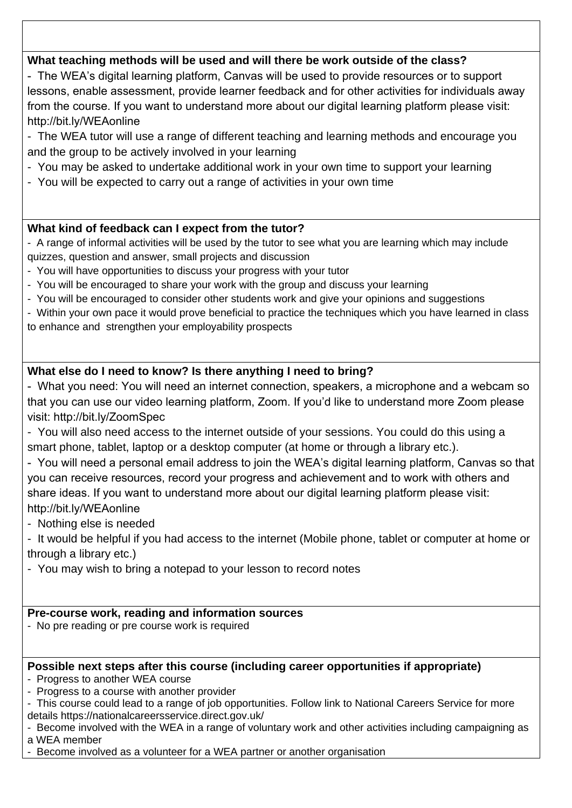# **What teaching methods will be used and will there be work outside of the class?**

- The WEA's digital learning platform, Canvas will be used to provide resources or to support lessons, enable assessment, provide learner feedback and for other activities for individuals away from the course. If you want to understand more about our digital learning platform please visit: http://bit.ly/WEAonline

- The WEA tutor will use a range of different teaching and learning methods and encourage you and the group to be actively involved in your learning

- You may be asked to undertake additional work in your own time to support your learning
- You will be expected to carry out a range of activities in your own time

# **What kind of feedback can I expect from the tutor?**

- A range of informal activities will be used by the tutor to see what you are learning which may include quizzes, question and answer, small projects and discussion

- You will have opportunities to discuss your progress with your tutor
- You will be encouraged to share your work with the group and discuss your learning
- You will be encouraged to consider other students work and give your opinions and suggestions

- Within your own pace it would prove beneficial to practice the techniques which you have learned in class to enhance and strengthen your employability prospects

# **What else do I need to know? Is there anything I need to bring?**

- What you need: You will need an internet connection, speakers, a microphone and a webcam so that you can use our video learning platform, Zoom. If you'd like to understand more Zoom please visit: http://bit.ly/ZoomSpec

- You will also need access to the internet outside of your sessions. You could do this using a smart phone, tablet, laptop or a desktop computer (at home or through a library etc.).

- You will need a personal email address to join the WEA's digital learning platform, Canvas so that you can receive resources, record your progress and achievement and to work with others and share ideas. If you want to understand more about our digital learning platform please visit: http://bit.ly/WEAonline

- Nothing else is needed

- It would be helpful if you had access to the internet (Mobile phone, tablet or computer at home or through a library etc.)

- You may wish to bring a notepad to your lesson to record notes

# **Pre-course work, reading and information sources**

- No pre reading or pre course work is required

## **Possible next steps after this course (including career opportunities if appropriate)**

- Progress to another WEA course
- Progress to a course with another provider
- This course could lead to a range of job opportunities. Follow link to National Careers Service for more details https://nationalcareersservice.direct.gov.uk/
- Become involved with the WEA in a range of voluntary work and other activities including campaigning as a WEA member
- Become involved as a volunteer for a WEA partner or another organisation